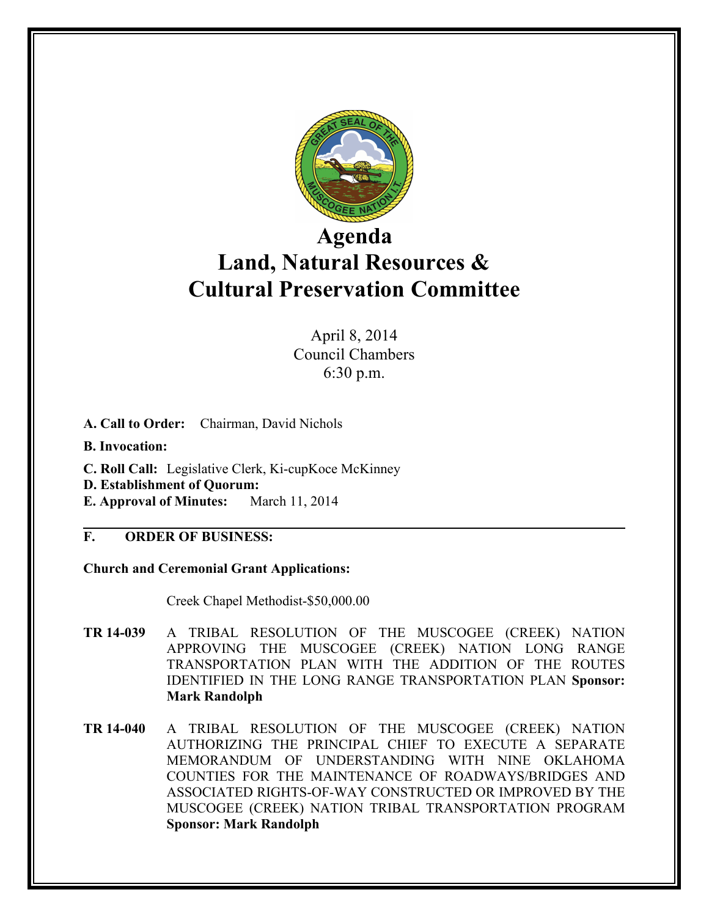

## **Agenda Land, Natural Resources & Cultural Preservation Committee**

April 8, 2014 Council Chambers 6:30 p.m.

- **A. Call to Order:** Chairman, David Nichols
- **B. Invocation:**
- **C. Roll Call:** Legislative Clerk, Ki-cupKoce McKinney
- **D. Establishment of Quorum:**
- **E. Approval of Minutes:** March 11, 2014

## **F. ORDER OF BUSINESS:**

**Church and Ceremonial Grant Applications:**

Creek Chapel Methodist-\$50,000.00

- **TR 14-039** A TRIBAL RESOLUTION OF THE MUSCOGEE (CREEK) NATION APPROVING THE MUSCOGEE (CREEK) NATION LONG RANGE TRANSPORTATION PLAN WITH THE ADDITION OF THE ROUTES IDENTIFIED IN THE LONG RANGE TRANSPORTATION PLAN **Sponsor: Mark Randolph**
- **TR 14-040** A TRIBAL RESOLUTION OF THE MUSCOGEE (CREEK) NATION AUTHORIZING THE PRINCIPAL CHIEF TO EXECUTE A SEPARATE MEMORANDUM OF UNDERSTANDING WITH NINE OKLAHOMA COUNTIES FOR THE MAINTENANCE OF ROADWAYS/BRIDGES AND ASSOCIATED RIGHTS-OF-WAY CONSTRUCTED OR IMPROVED BY THE MUSCOGEE (CREEK) NATION TRIBAL TRANSPORTATION PROGRAM **Sponsor: Mark Randolph**